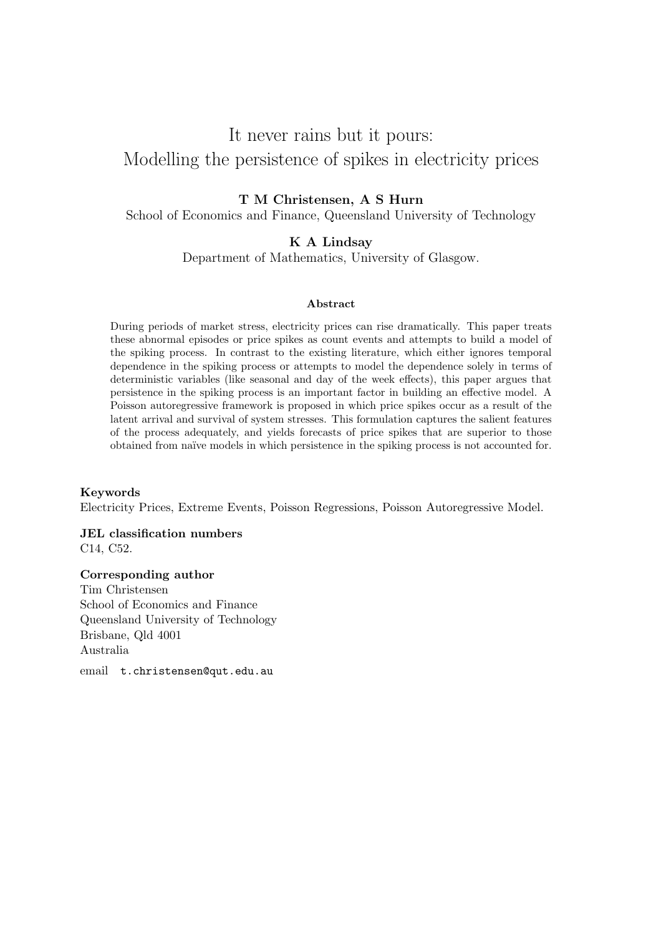# It never rains but it pours: Modelling the persistence of spikes in electricity prices

#### T M Christensen, A S Hurn

School of Economics and Finance, Queensland University of Technology

#### K A Lindsay

Department of Mathematics, University of Glasgow.

#### Abstract

During periods of market stress, electricity prices can rise dramatically. This paper treats these abnormal episodes or price spikes as count events and attempts to build a model of the spiking process. In contrast to the existing literature, which either ignores temporal dependence in the spiking process or attempts to model the dependence solely in terms of deterministic variables (like seasonal and day of the week effects), this paper argues that persistence in the spiking process is an important factor in building an effective model. A Poisson autoregressive framework is proposed in which price spikes occur as a result of the latent arrival and survival of system stresses. This formulation captures the salient features of the process adequately, and yields forecasts of price spikes that are superior to those obtained from na¨ıve models in which persistence in the spiking process is not accounted for.

#### Keywords

Electricity Prices, Extreme Events, Poisson Regressions, Poisson Autoregressive Model.

JEL classification numbers C14, C52.

#### Corresponding author

Tim Christensen School of Economics and Finance Queensland University of Technology Brisbane, Qld 4001 Australia email t.christensen@qut.edu.au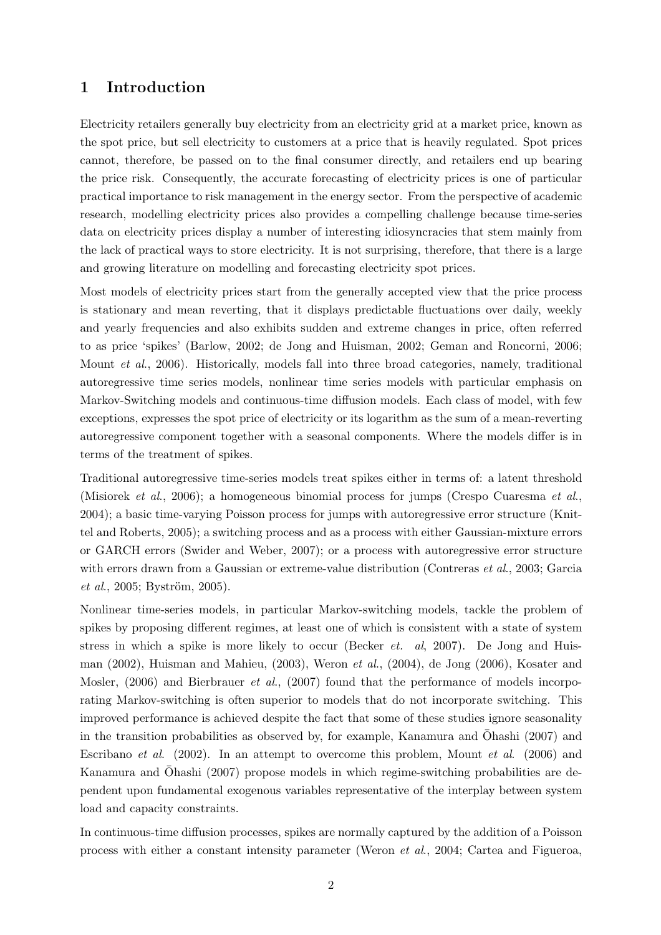## 1 Introduction

Electricity retailers generally buy electricity from an electricity grid at a market price, known as the spot price, but sell electricity to customers at a price that is heavily regulated. Spot prices cannot, therefore, be passed on to the final consumer directly, and retailers end up bearing the price risk. Consequently, the accurate forecasting of electricity prices is one of particular practical importance to risk management in the energy sector. From the perspective of academic research, modelling electricity prices also provides a compelling challenge because time-series data on electricity prices display a number of interesting idiosyncracies that stem mainly from the lack of practical ways to store electricity. It is not surprising, therefore, that there is a large and growing literature on modelling and forecasting electricity spot prices.

Most models of electricity prices start from the generally accepted view that the price process is stationary and mean reverting, that it displays predictable fluctuations over daily, weekly and yearly frequencies and also exhibits sudden and extreme changes in price, often referred to as price 'spikes' (Barlow, 2002; de Jong and Huisman, 2002; Geman and Roncorni, 2006; Mount et al., 2006). Historically, models fall into three broad categories, namely, traditional autoregressive time series models, nonlinear time series models with particular emphasis on Markov-Switching models and continuous-time diffusion models. Each class of model, with few exceptions, expresses the spot price of electricity or its logarithm as the sum of a mean-reverting autoregressive component together with a seasonal components. Where the models differ is in terms of the treatment of spikes.

Traditional autoregressive time-series models treat spikes either in terms of: a latent threshold (Misiorek et al., 2006); a homogeneous binomial process for jumps (Crespo Cuaresma et al., 2004); a basic time-varying Poisson process for jumps with autoregressive error structure (Knittel and Roberts, 2005); a switching process and as a process with either Gaussian-mixture errors or GARCH errors (Swider and Weber, 2007); or a process with autoregressive error structure with errors drawn from a Gaussian or extreme-value distribution (Contreras *et al.*, 2003; Garcia  $et \ al., 2005; Byström, 2005).$ 

Nonlinear time-series models, in particular Markov-switching models, tackle the problem of spikes by proposing different regimes, at least one of which is consistent with a state of system stress in which a spike is more likely to occur (Becker *et. al*, 2007). De Jong and Huisman (2002), Huisman and Mahieu, (2003), Weron et al., (2004), de Jong (2006), Kosater and Mosler, (2006) and Bierbrauer *et al.*, (2007) found that the performance of models incorporating Markov-switching is often superior to models that do not incorporate switching. This improved performance is achieved despite the fact that some of these studies ignore seasonality in the transition probabilities as observed by, for example, Kanamura and  $\bar{\text{O}}$ hashi (2007) and Escribano et al. (2002). In an attempt to overcome this problem, Mount et al. (2006) and Kanamura and  $\bar{\text{O}}$ hashi (2007) propose models in which regime-switching probabilities are dependent upon fundamental exogenous variables representative of the interplay between system load and capacity constraints.

In continuous-time diffusion processes, spikes are normally captured by the addition of a Poisson process with either a constant intensity parameter (Weron et al., 2004; Cartea and Figueroa,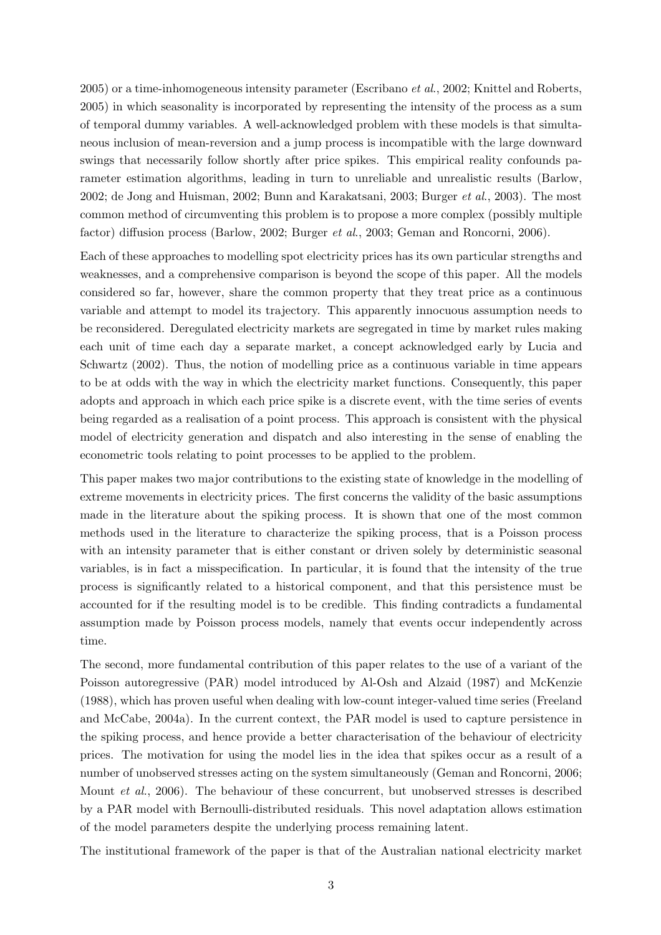$2005$ ) or a time-inhomogeneous intensity parameter (Escribano *et al.*, 2002; Knittel and Roberts, 2005) in which seasonality is incorporated by representing the intensity of the process as a sum of temporal dummy variables. A well-acknowledged problem with these models is that simultaneous inclusion of mean-reversion and a jump process is incompatible with the large downward swings that necessarily follow shortly after price spikes. This empirical reality confounds parameter estimation algorithms, leading in turn to unreliable and unrealistic results (Barlow, 2002; de Jong and Huisman, 2002; Bunn and Karakatsani, 2003; Burger et al., 2003). The most common method of circumventing this problem is to propose a more complex (possibly multiple factor) diffusion process (Barlow, 2002; Burger et al., 2003; Geman and Roncorni, 2006).

Each of these approaches to modelling spot electricity prices has its own particular strengths and weaknesses, and a comprehensive comparison is beyond the scope of this paper. All the models considered so far, however, share the common property that they treat price as a continuous variable and attempt to model its trajectory. This apparently innocuous assumption needs to be reconsidered. Deregulated electricity markets are segregated in time by market rules making each unit of time each day a separate market, a concept acknowledged early by Lucia and Schwartz (2002). Thus, the notion of modelling price as a continuous variable in time appears to be at odds with the way in which the electricity market functions. Consequently, this paper adopts and approach in which each price spike is a discrete event, with the time series of events being regarded as a realisation of a point process. This approach is consistent with the physical model of electricity generation and dispatch and also interesting in the sense of enabling the econometric tools relating to point processes to be applied to the problem.

This paper makes two major contributions to the existing state of knowledge in the modelling of extreme movements in electricity prices. The first concerns the validity of the basic assumptions made in the literature about the spiking process. It is shown that one of the most common methods used in the literature to characterize the spiking process, that is a Poisson process with an intensity parameter that is either constant or driven solely by deterministic seasonal variables, is in fact a misspecification. In particular, it is found that the intensity of the true process is significantly related to a historical component, and that this persistence must be accounted for if the resulting model is to be credible. This finding contradicts a fundamental assumption made by Poisson process models, namely that events occur independently across time.

The second, more fundamental contribution of this paper relates to the use of a variant of the Poisson autoregressive (PAR) model introduced by Al-Osh and Alzaid (1987) and McKenzie (1988), which has proven useful when dealing with low-count integer-valued time series (Freeland and McCabe, 2004a). In the current context, the PAR model is used to capture persistence in the spiking process, and hence provide a better characterisation of the behaviour of electricity prices. The motivation for using the model lies in the idea that spikes occur as a result of a number of unobserved stresses acting on the system simultaneously (Geman and Roncorni, 2006; Mount et al., 2006). The behaviour of these concurrent, but unobserved stresses is described by a PAR model with Bernoulli-distributed residuals. This novel adaptation allows estimation of the model parameters despite the underlying process remaining latent.

The institutional framework of the paper is that of the Australian national electricity market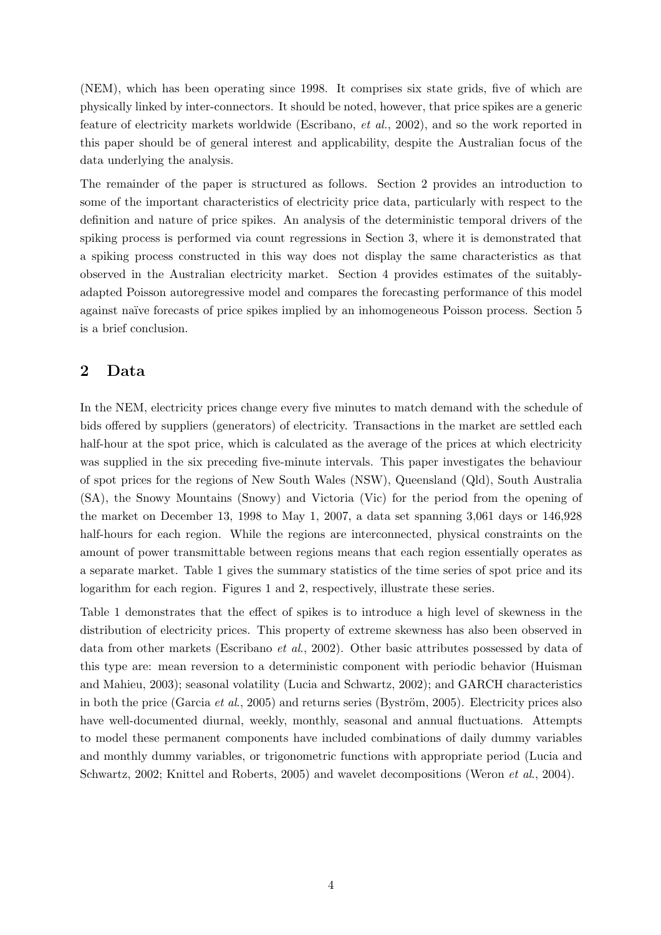(NEM), which has been operating since 1998. It comprises six state grids, five of which are physically linked by inter-connectors. It should be noted, however, that price spikes are a generic feature of electricity markets worldwide (Escribano, et al., 2002), and so the work reported in this paper should be of general interest and applicability, despite the Australian focus of the data underlying the analysis.

The remainder of the paper is structured as follows. Section 2 provides an introduction to some of the important characteristics of electricity price data, particularly with respect to the definition and nature of price spikes. An analysis of the deterministic temporal drivers of the spiking process is performed via count regressions in Section 3, where it is demonstrated that a spiking process constructed in this way does not display the same characteristics as that observed in the Australian electricity market. Section 4 provides estimates of the suitablyadapted Poisson autoregressive model and compares the forecasting performance of this model against naïve forecasts of price spikes implied by an inhomogeneous Poisson process. Section 5 is a brief conclusion.

#### 2 Data

In the NEM, electricity prices change every five minutes to match demand with the schedule of bids offered by suppliers (generators) of electricity. Transactions in the market are settled each half-hour at the spot price, which is calculated as the average of the prices at which electricity was supplied in the six preceding five-minute intervals. This paper investigates the behaviour of spot prices for the regions of New South Wales (NSW), Queensland (Qld), South Australia (SA), the Snowy Mountains (Snowy) and Victoria (Vic) for the period from the opening of the market on December 13, 1998 to May 1, 2007, a data set spanning 3,061 days or 146,928 half-hours for each region. While the regions are interconnected, physical constraints on the amount of power transmittable between regions means that each region essentially operates as a separate market. Table 1 gives the summary statistics of the time series of spot price and its logarithm for each region. Figures 1 and 2, respectively, illustrate these series.

Table 1 demonstrates that the effect of spikes is to introduce a high level of skewness in the distribution of electricity prices. This property of extreme skewness has also been observed in data from other markets (Escribano et al., 2002). Other basic attributes possessed by data of this type are: mean reversion to a deterministic component with periodic behavior (Huisman and Mahieu, 2003); seasonal volatility (Lucia and Schwartz, 2002); and GARCH characteristics in both the price (Garcia *et al.*, 2005) and returns series (Byström, 2005). Electricity prices also have well-documented diurnal, weekly, monthly, seasonal and annual fluctuations. Attempts to model these permanent components have included combinations of daily dummy variables and monthly dummy variables, or trigonometric functions with appropriate period (Lucia and Schwartz, 2002; Knittel and Roberts, 2005) and wavelet decompositions (Weron et al., 2004).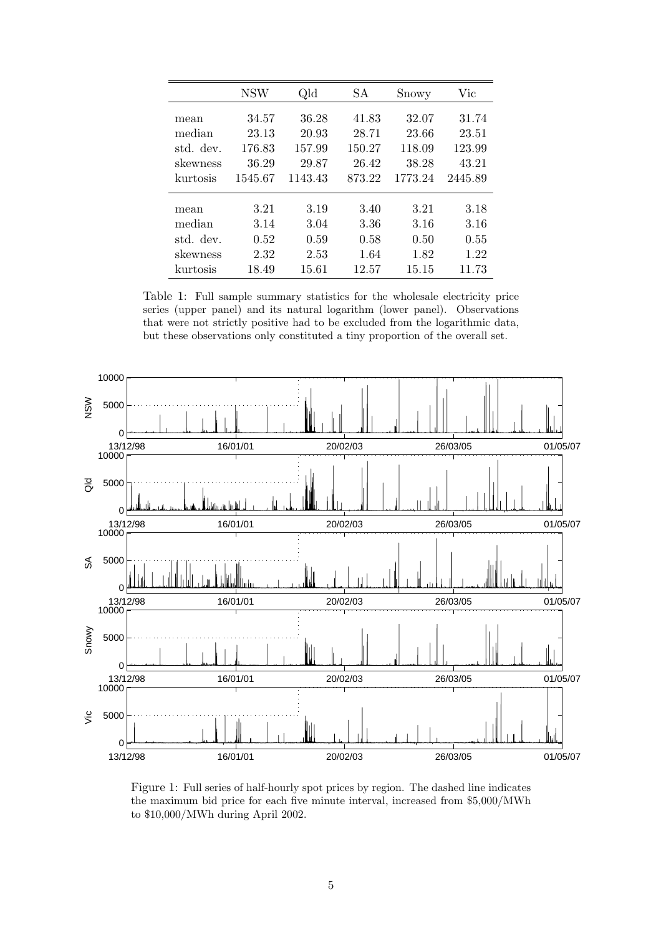|           | <b>NSW</b> | Qld     | SА     | Snowy   | Vic     |
|-----------|------------|---------|--------|---------|---------|
| mean      | 34.57      | 36.28   | 41.83  | 32.07   | 31.74   |
| median    | 23.13      | 20.93   | 28.71  | 23.66   | 23.51   |
| std. dev. | 176.83     | 157.99  | 150.27 | 118.09  | 123.99  |
| skewness  | 36.29      | 29.87   | 26.42  | 38.28   | 43.21   |
| kurtosis  | 1545.67    | 1143.43 | 873.22 | 1773.24 | 2445.89 |
|           | 3.21       | 3.19    | 3.40   | 3.21    | 3.18    |
| mean      |            |         |        | 3.16    | 3.16    |
| median    | 3.14       | 3.04    | 3.36   |         |         |
| std. dev. | 0.52       | 0.59    | 0.58   | 0.50    | 0.55    |
| skewness  | 2.32       | 2.53    | 1.64   | 1.82    | 1.22    |
| kurtosis  | 18.49      | 15.61   | 12.57  | 15.15   | 11.73   |

Table 1: Full sample summary statistics for the wholesale electricity price series (upper panel) and its natural logarithm (lower panel). Observations that were not strictly positive had to be excluded from the logarithmic data, but these observations only constituted a tiny proportion of the overall set.



Figure 1: Full series of half-hourly spot prices by region. The dashed line indicates the maximum bid price for each five minute interval, increased from \$5,000/MWh to \$10,000/MWh during April 2002.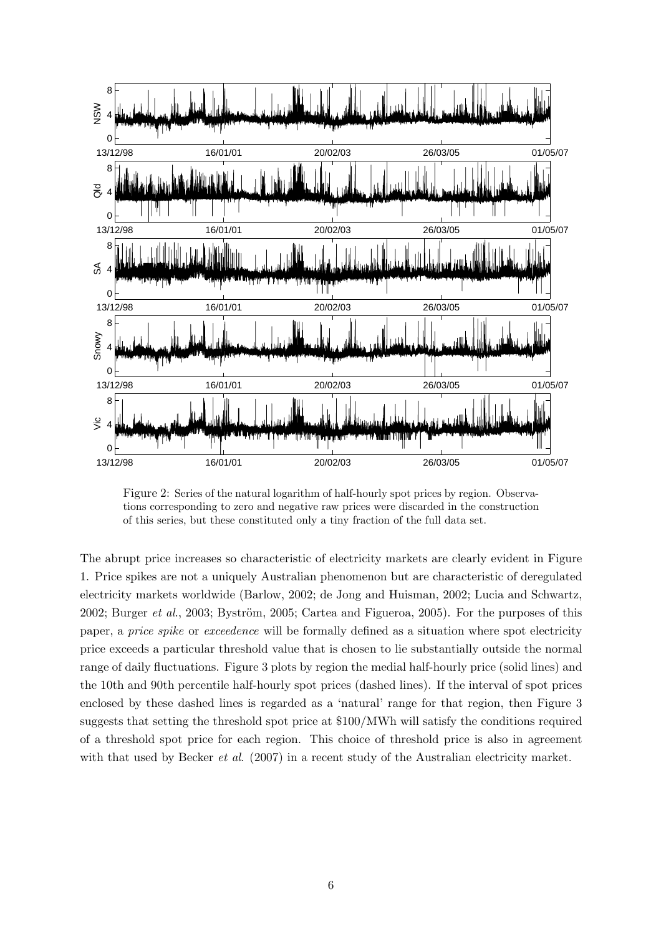

Figure 2: Series of the natural logarithm of half-hourly spot prices by region. Observations corresponding to zero and negative raw prices were discarded in the construction of this series, but these constituted only a tiny fraction of the full data set.

The abrupt price increases so characteristic of electricity markets are clearly evident in Figure 1. Price spikes are not a uniquely Australian phenomenon but are characteristic of deregulated electricity markets worldwide (Barlow, 2002; de Jong and Huisman, 2002; Lucia and Schwartz, 2002; Burger *et al.*, 2003; Byström, 2005; Cartea and Figueroa, 2005). For the purposes of this paper, a price spike or exceedence will be formally defined as a situation where spot electricity price exceeds a particular threshold value that is chosen to lie substantially outside the normal range of daily fluctuations. Figure 3 plots by region the medial half-hourly price (solid lines) and the 10th and 90th percentile half-hourly spot prices (dashed lines). If the interval of spot prices enclosed by these dashed lines is regarded as a 'natural' range for that region, then Figure 3 suggests that setting the threshold spot price at \$100/MWh will satisfy the conditions required of a threshold spot price for each region. This choice of threshold price is also in agreement with that used by Becker *et al.* (2007) in a recent study of the Australian electricity market.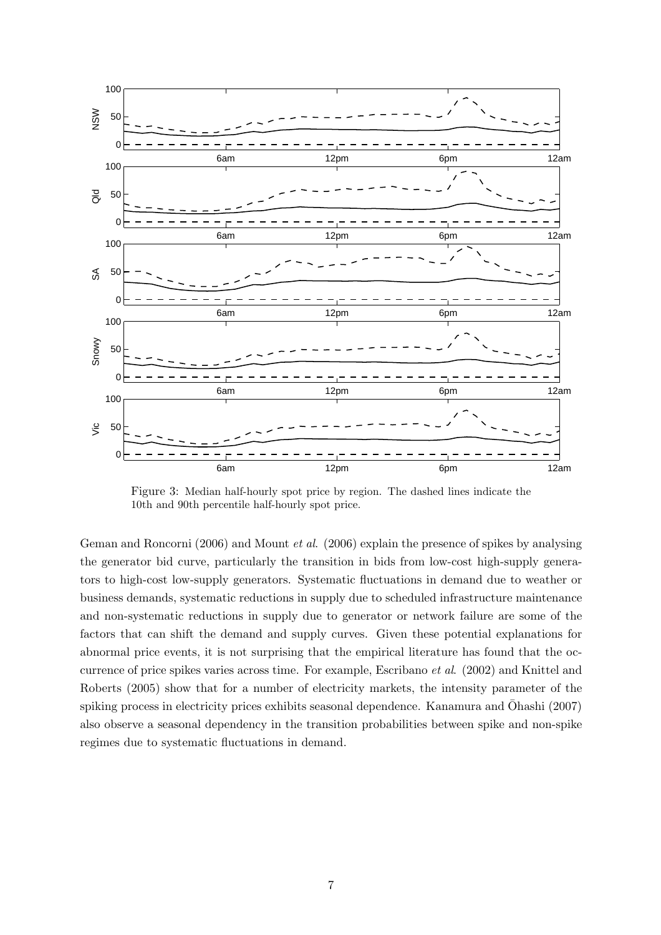

Figure 3: Median half-hourly spot price by region. The dashed lines indicate the 10th and 90th percentile half-hourly spot price.

Geman and Roncorni (2006) and Mount et al. (2006) explain the presence of spikes by analysing the generator bid curve, particularly the transition in bids from low-cost high-supply generators to high-cost low-supply generators. Systematic fluctuations in demand due to weather or business demands, systematic reductions in supply due to scheduled infrastructure maintenance and non-systematic reductions in supply due to generator or network failure are some of the factors that can shift the demand and supply curves. Given these potential explanations for abnormal price events, it is not surprising that the empirical literature has found that the occurrence of price spikes varies across time. For example, Escribano et al. (2002) and Knittel and Roberts (2005) show that for a number of electricity markets, the intensity parameter of the spiking process in electricity prices exhibits seasonal dependence. Kanamura and  $\bar{O}$ hashi (2007) also observe a seasonal dependency in the transition probabilities between spike and non-spike regimes due to systematic fluctuations in demand.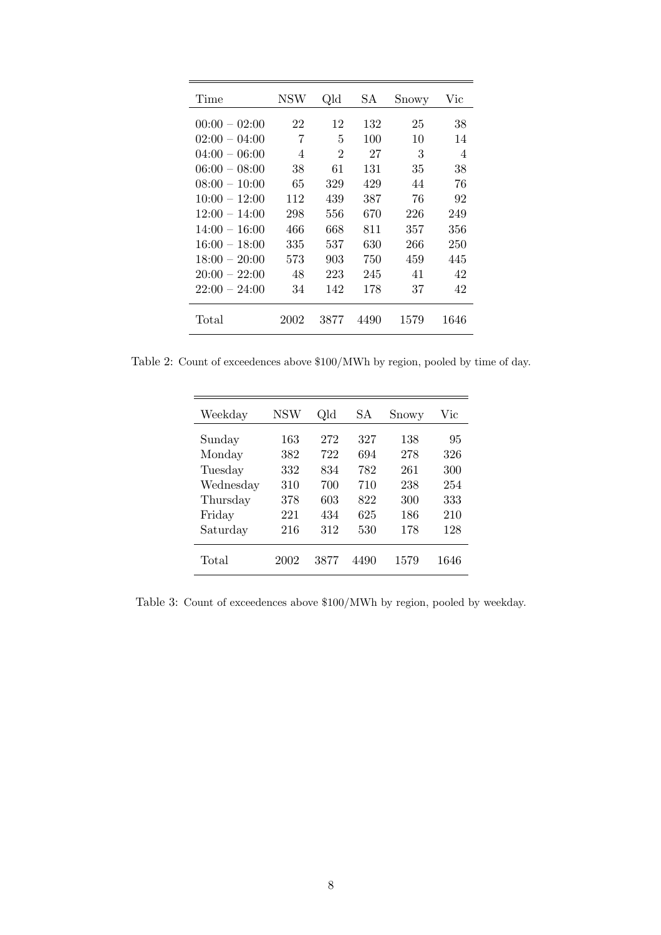| Time            | NSW  | Qld            | SА   | Snowy | Vic            |
|-----------------|------|----------------|------|-------|----------------|
| $00:00 - 02:00$ | 22   | 12             | 132  | 25    | 38             |
| $02:00 - 04:00$ | 7    | 5              | 100  | 10    | 14             |
| $04:00 - 06:00$ | 4    | $\overline{2}$ | 27   | 3     | $\overline{4}$ |
| $06:00 - 08:00$ | 38   | 61             | 131  | 35    | 38             |
| $08:00 - 10:00$ | 65   | 329            | 429  | 44    | 76             |
| $10:00 - 12:00$ | 112  | 439            | 387  | 76    | 92             |
| $12:00 - 14:00$ | 298  | 556            | 670  | 226   | 249            |
| $14:00 - 16:00$ | 466  | 668            | 811  | 357   | 356            |
| $16:00 - 18:00$ | 335  | 537            | 630  | 266   | 250            |
| $18:00 - 20:00$ | 573  | 903            | 750  | 459   | 445            |
| $20:00 - 22:00$ | 48   | 223            | 245  | 41    | 42             |
| $22:00 - 24:00$ | 34   | 142            | 178  | 37    | 42             |
| $\text{Total}$  | 2002 | 3877           | 4490 | 1579  | 1646           |

Table 2: Count of exceedences above \$100/MWh by region, pooled by time of day.

| Weekday   | <b>NSW</b> | Qld  | SА   | Snowy | Vic  |
|-----------|------------|------|------|-------|------|
| Sunday    | 163        | 272  | 327  | 138   | 95   |
| Monday    | 382        | 722  | 694  | 278   | 326  |
| Tuesday   | 332        | 834  | 782  | 261   | 300  |
| Wednesday | 310        | 700  | 710  | 238   | 254  |
| Thursday  | 378        | 603  | 822  | 300   | 333  |
| Friday    | 221        | 434  | 625  | 186   | 210  |
| Saturday  | 216        | 312  | 530  | 178   | 128  |
| Total     | 2002       | 3877 | 4490 | 1579  | 1646 |

Table 3: Count of exceedences above \$100/MWh by region, pooled by weekday.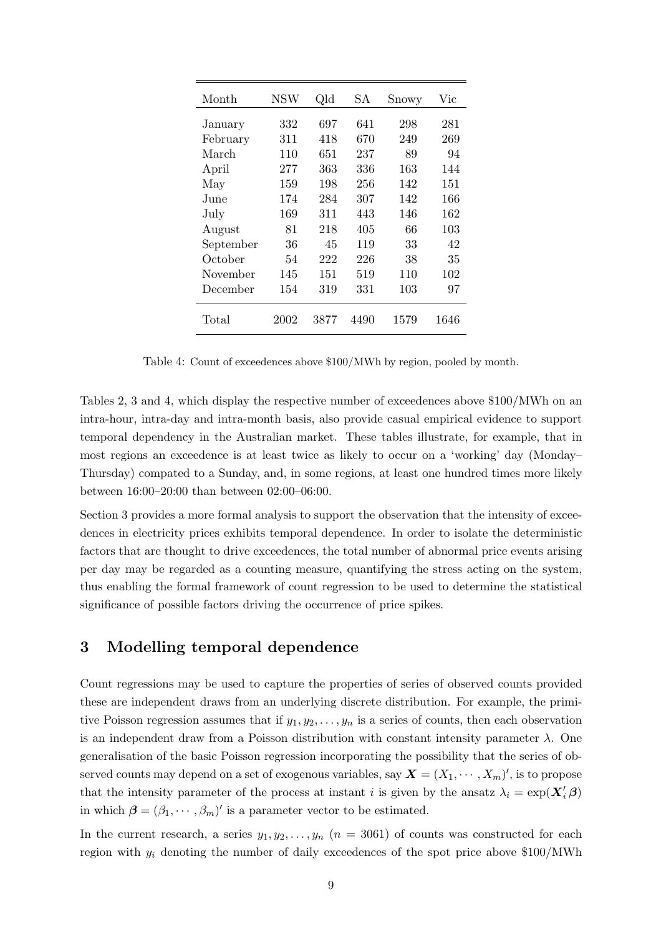| Month     | <b>NSW</b> | Qld  | SА   | Snowy | $\rm{Vic}$ |
|-----------|------------|------|------|-------|------------|
| January   | 332        | 697  | 641  | 298   | 281        |
| February  | 311        | 418  | 670  | 249   | 269        |
| March     | 110        | 651  | 237  | 89    | 94         |
| April     | 277        | 363  | 336  | 163   | 144        |
| May       | 159        | 198  | 256  | 142   | 151        |
| June      | 174        | 284  | 307  | 142   | 166        |
| July      | 169        | 311  | 443  | 146   | 162        |
| August    | 81         | 218  | 405  | 66    | 103        |
| September | 36         | 45   | 119  | 33    | 42         |
| October   | 54         | 222  | 226  | 38    | 35         |
| November  | 145        | 151  | 519  | 110   | 102        |
| December  | 154        | 319  | 331  | 103   | 97         |
| Total     | 2002       | 3877 | 4490 | 1579  | 1646       |

Table 4: Count of exceedences above \$100/MWh by region, pooled by month.

Tables 2, 3 and 4, which display the respective number of exceedences above \$100/MWh on an intra-hour, intra-day and intra-month basis, also provide casual empirical evidence to support temporal dependency in the Australian market. These tables illustrate, for example, that in most regions an exceedence is at least twice as likely to occur on a 'working' day (Monday– Thursday) compated to a Sunday, and, in some regions, at least one hundred times more likely between 16:00–20:00 than between 02:00–06:00.

Section 3 provides a more formal analysis to support the observation that the intensity of exceedences in electricity prices exhibits temporal dependence. In order to isolate the deterministic factors that are thought to drive exceedences, the total number of abnormal price events arising per day may be regarded as a counting measure, quantifying the stress acting on the system, thus enabling the formal framework of count regression to be used to determine the statistical significance of possible factors driving the occurrence of price spikes.

## 3 Modelling temporal dependence

Count regressions may be used to capture the properties of series of observed counts provided these are independent draws from an underlying discrete distribution. For example, the primitive Poisson regression assumes that if  $y_1, y_2, \ldots, y_n$  is a series of counts, then each observation is an independent draw from a Poisson distribution with constant intensity parameter  $\lambda$ . One generalisation of the basic Poisson regression incorporating the possibility that the series of observed counts may depend on a set of exogenous variables, say  $\boldsymbol{X}=(X_1,\cdots,X_m)'$ , is to propose that the intensity parameter of the process at instant i is given by the ansatz  $\lambda_i = \exp(\mathbf{X}_i' \boldsymbol{\beta})$ in which  $\boldsymbol{\beta} = (\beta_1, \cdots, \beta_m)'$  is a parameter vector to be estimated.

In the current research, a series  $y_1, y_2, \ldots, y_n$   $(n = 3061)$  of counts was constructed for each region with  $y_i$  denoting the number of daily exceedences of the spot price above \$100/MWh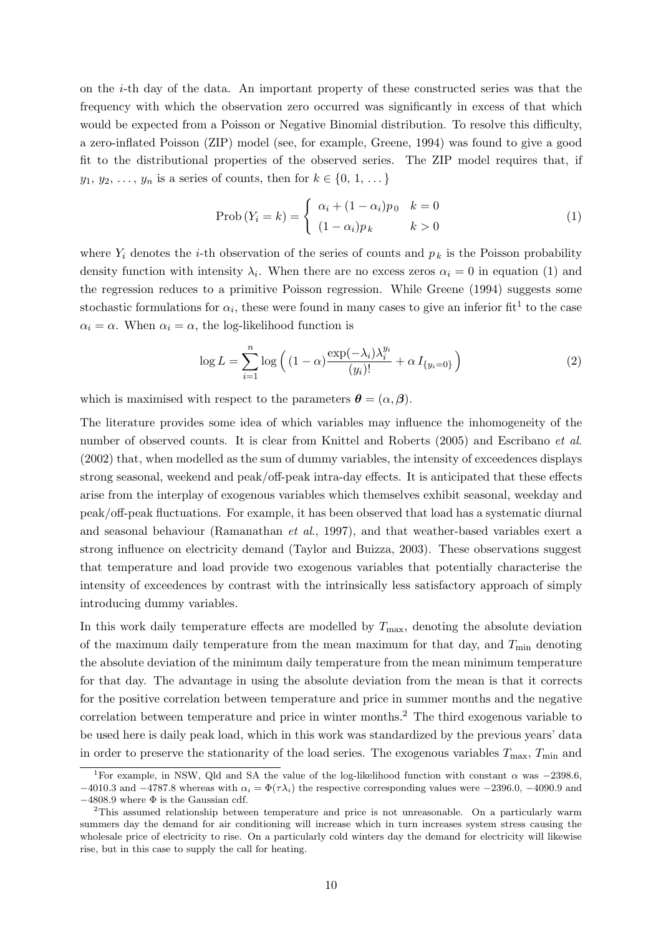on the i-th day of the data. An important property of these constructed series was that the frequency with which the observation zero occurred was significantly in excess of that which would be expected from a Poisson or Negative Binomial distribution. To resolve this difficulty, a zero-inflated Poisson (ZIP) model (see, for example, Greene, 1994) was found to give a good fit to the distributional properties of the observed series. The ZIP model requires that, if  $y_1, y_2, \ldots, y_n$  is a series of counts, then for  $k \in \{0, 1, \ldots\}$ 

$$
\text{Prob}\left(Y_i = k\right) = \begin{cases} \alpha_i + (1 - \alpha_i)p_0 & k = 0\\ (1 - \alpha_i)p_k & k > 0 \end{cases} \tag{1}
$$

where  $Y_i$  denotes the *i*-th observation of the series of counts and  $p_k$  is the Poisson probability density function with intensity  $\lambda_i$ . When there are no excess zeros  $\alpha_i = 0$  in equation (1) and the regression reduces to a primitive Poisson regression. While Greene (1994) suggests some stochastic formulations for  $\alpha_i$ , these were found in many cases to give an inferior fit<sup>1</sup> to the case  $\alpha_i = \alpha$ . When  $\alpha_i = \alpha$ , the log-likelihood function is

$$
\log L = \sum_{i=1}^{n} \log \left( (1 - \alpha) \frac{\exp(-\lambda_i) \lambda_i^{y_i}}{(y_i)!} + \alpha I_{\{y_i = 0\}} \right) \tag{2}
$$

which is maximised with respect to the parameters  $\boldsymbol{\theta} = (\alpha, \boldsymbol{\beta})$ .

The literature provides some idea of which variables may influence the inhomogeneity of the number of observed counts. It is clear from Knittel and Roberts (2005) and Escribano *et al.* (2002) that, when modelled as the sum of dummy variables, the intensity of exceedences displays strong seasonal, weekend and peak/off-peak intra-day effects. It is anticipated that these effects arise from the interplay of exogenous variables which themselves exhibit seasonal, weekday and peak/off-peak fluctuations. For example, it has been observed that load has a systematic diurnal and seasonal behaviour (Ramanathan et al., 1997), and that weather-based variables exert a strong influence on electricity demand (Taylor and Buizza, 2003). These observations suggest that temperature and load provide two exogenous variables that potentially characterise the intensity of exceedences by contrast with the intrinsically less satisfactory approach of simply introducing dummy variables.

In this work daily temperature effects are modelled by  $T_{\text{max}}$ , denoting the absolute deviation of the maximum daily temperature from the mean maximum for that day, and  $T_{\text{min}}$  denoting the absolute deviation of the minimum daily temperature from the mean minimum temperature for that day. The advantage in using the absolute deviation from the mean is that it corrects for the positive correlation between temperature and price in summer months and the negative correlation between temperature and price in winter months.<sup>2</sup> The third exogenous variable to be used here is daily peak load, which in this work was standardized by the previous years' data in order to preserve the stationarity of the load series. The exogenous variables  $T_{\text{max}}$ ,  $T_{\text{min}}$  and

<sup>&</sup>lt;sup>1</sup>For example, in NSW, Qld and SA the value of the log-likelihood function with constant  $\alpha$  was −2398.6, −4010.3 and −4787.8 whereas with  $\alpha_i = \Phi(\tau \lambda_i)$  the respective corresponding values were −2396.0, −4090.9 and  $-4808.9$  where  $\Phi$  is the Gaussian cdf.

<sup>2</sup>This assumed relationship between temperature and price is not unreasonable. On a particularly warm summers day the demand for air conditioning will increase which in turn increases system stress causing the wholesale price of electricity to rise. On a particularly cold winters day the demand for electricity will likewise rise, but in this case to supply the call for heating.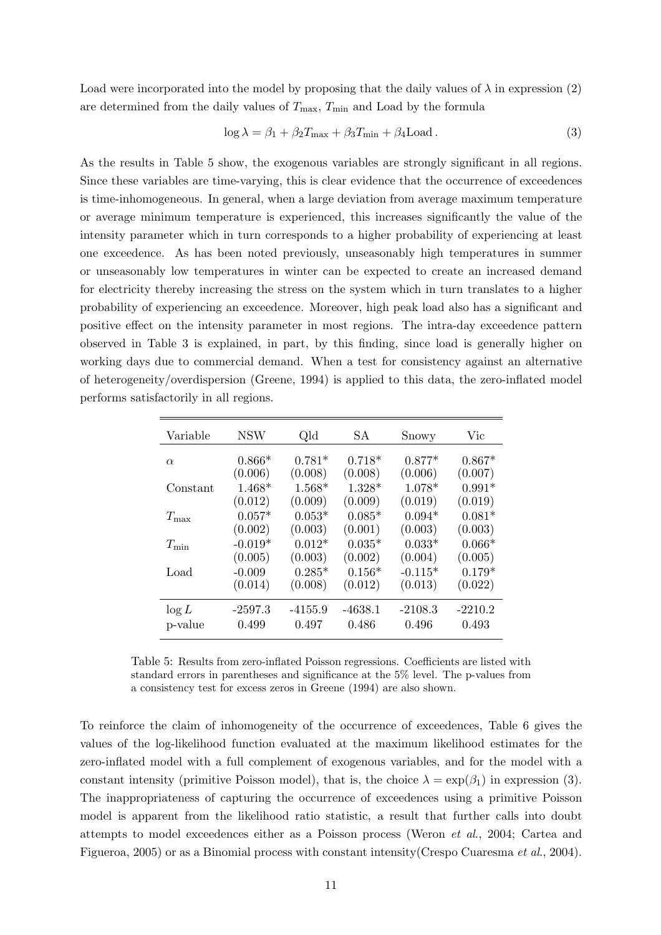Load were incorporated into the model by proposing that the daily values of  $\lambda$  in expression (2) are determined from the daily values of  $T_{\text{max}}$ ,  $T_{\text{min}}$  and Load by the formula

$$
\log \lambda = \beta_1 + \beta_2 T_{\max} + \beta_3 T_{\min} + \beta_4 \text{Load} \,. \tag{3}
$$

As the results in Table 5 show, the exogenous variables are strongly significant in all regions. Since these variables are time-varying, this is clear evidence that the occurrence of exceedences is time-inhomogeneous. In general, when a large deviation from average maximum temperature or average minimum temperature is experienced, this increases significantly the value of the intensity parameter which in turn corresponds to a higher probability of experiencing at least one exceedence. As has been noted previously, unseasonably high temperatures in summer or unseasonably low temperatures in winter can be expected to create an increased demand for electricity thereby increasing the stress on the system which in turn translates to a higher probability of experiencing an exceedence. Moreover, high peak load also has a significant and positive effect on the intensity parameter in most regions. The intra-day exceedence pattern observed in Table 3 is explained, in part, by this finding, since load is generally higher on working days due to commercial demand. When a test for consistency against an alternative of heterogeneity/overdispersion (Greene, 1994) is applied to this data, the zero-inflated model performs satisfactorily in all regions.

| Variable      | <b>NSW</b>           | Qld                 | SА                  | Snowy                | Vic                 |
|---------------|----------------------|---------------------|---------------------|----------------------|---------------------|
| $\alpha$      | $0.866*$             | $0.781*$            | $0.718*$            | $0.877*$             | $0.867*$            |
| Constant      | (0.006)<br>$1.468*$  | (0.008)<br>$1.568*$ | (0.008)<br>$1.328*$ | (0.006)<br>$1.078*$  | (0.007)<br>$0.991*$ |
| $T_{\rm max}$ | (0.012)<br>$0.057*$  | (0.009)<br>$0.053*$ | (0.009)<br>$0.085*$ | (0.019)<br>$0.094*$  | (0.019)<br>$0.081*$ |
| $T_{\min}$    | (0.002)<br>$-0.019*$ | (0.003)<br>$0.012*$ | (0.001)<br>$0.035*$ | (0.003)<br>$0.033*$  | (0.003)<br>$0.066*$ |
| Load          | (0.005)<br>$-0.009$  | (0.003)<br>$0.285*$ | (0.002)<br>$0.156*$ | (0.004)<br>$-0.115*$ | (0.005)<br>$0.179*$ |
|               | (0.014)              | (0.008)             | (0.012)             | (0.013)              | (0.022)             |
| $\log L$      | $-2597.3$            | $-4155.9$           | $-4638.1$           | $-2108.3$            | $-2210.2$           |
| p-value       | 0.499                | 0.497               | 0.486               | 0.496                | 0.493               |

Table 5: Results from zero-inflated Poisson regressions. Coefficients are listed with standard errors in parentheses and significance at the 5% level. The p-values from a consistency test for excess zeros in Greene (1994) are also shown.

To reinforce the claim of inhomogeneity of the occurrence of exceedences, Table 6 gives the values of the log-likelihood function evaluated at the maximum likelihood estimates for the zero-inflated model with a full complement of exogenous variables, and for the model with a constant intensity (primitive Poisson model), that is, the choice  $\lambda = \exp(\beta_1)$  in expression (3). The inappropriateness of capturing the occurrence of exceedences using a primitive Poisson model is apparent from the likelihood ratio statistic, a result that further calls into doubt attempts to model exceedences either as a Poisson process (Weron et al., 2004; Cartea and Figueroa, 2005) or as a Binomial process with constant intensity(Crespo Cuaresma et al., 2004).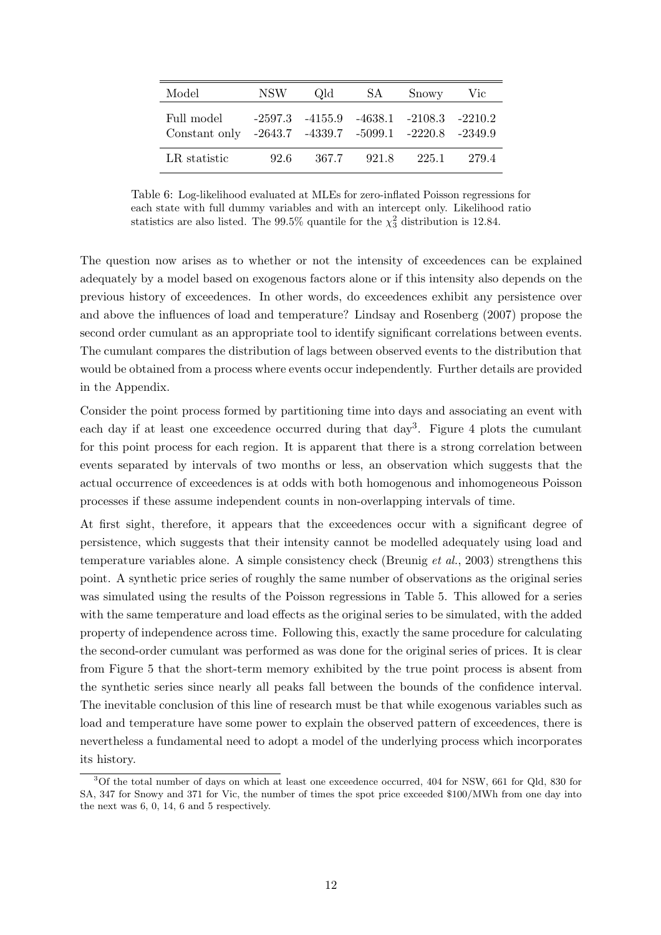| Model                                                               | NSW- | Old.                                              | SA    | Snowy | Vic  |
|---------------------------------------------------------------------|------|---------------------------------------------------|-------|-------|------|
| Full model<br>Constant only -2643.7 -4339.7 -5099.1 -2220.8 -2349.9 |      | $-2597.3$ $-4155.9$ $-4638.1$ $-2108.3$ $-2210.2$ |       |       |      |
| LR statistic                                                        | 92.6 | 367.7                                             | 921.8 | 225.1 | 2794 |

Table 6: Log-likelihood evaluated at MLEs for zero-inflated Poisson regressions for each state with full dummy variables and with an intercept only. Likelihood ratio statistics are also listed. The  $99.5\%$  quantile for the  $\chi^2$  distribution is 12.84.

The question now arises as to whether or not the intensity of exceedences can be explained adequately by a model based on exogenous factors alone or if this intensity also depends on the previous history of exceedences. In other words, do exceedences exhibit any persistence over and above the influences of load and temperature? Lindsay and Rosenberg (2007) propose the second order cumulant as an appropriate tool to identify significant correlations between events. The cumulant compares the distribution of lags between observed events to the distribution that would be obtained from a process where events occur independently. Further details are provided in the Appendix.

Consider the point process formed by partitioning time into days and associating an event with each day if at least one exceedence occurred during that day<sup>3</sup>. Figure 4 plots the cumulant for this point process for each region. It is apparent that there is a strong correlation between events separated by intervals of two months or less, an observation which suggests that the actual occurrence of exceedences is at odds with both homogenous and inhomogeneous Poisson processes if these assume independent counts in non-overlapping intervals of time.

At first sight, therefore, it appears that the exceedences occur with a significant degree of persistence, which suggests that their intensity cannot be modelled adequately using load and temperature variables alone. A simple consistency check (Breunig et al., 2003) strengthens this point. A synthetic price series of roughly the same number of observations as the original series was simulated using the results of the Poisson regressions in Table 5. This allowed for a series with the same temperature and load effects as the original series to be simulated, with the added property of independence across time. Following this, exactly the same procedure for calculating the second-order cumulant was performed as was done for the original series of prices. It is clear from Figure 5 that the short-term memory exhibited by the true point process is absent from the synthetic series since nearly all peaks fall between the bounds of the confidence interval. The inevitable conclusion of this line of research must be that while exogenous variables such as load and temperature have some power to explain the observed pattern of exceedences, there is nevertheless a fundamental need to adopt a model of the underlying process which incorporates its history.

<sup>3</sup>Of the total number of days on which at least one exceedence occurred, 404 for NSW, 661 for Qld, 830 for SA, 347 for Snowy and 371 for Vic, the number of times the spot price exceeded \$100/MWh from one day into the next was 6, 0, 14, 6 and 5 respectively.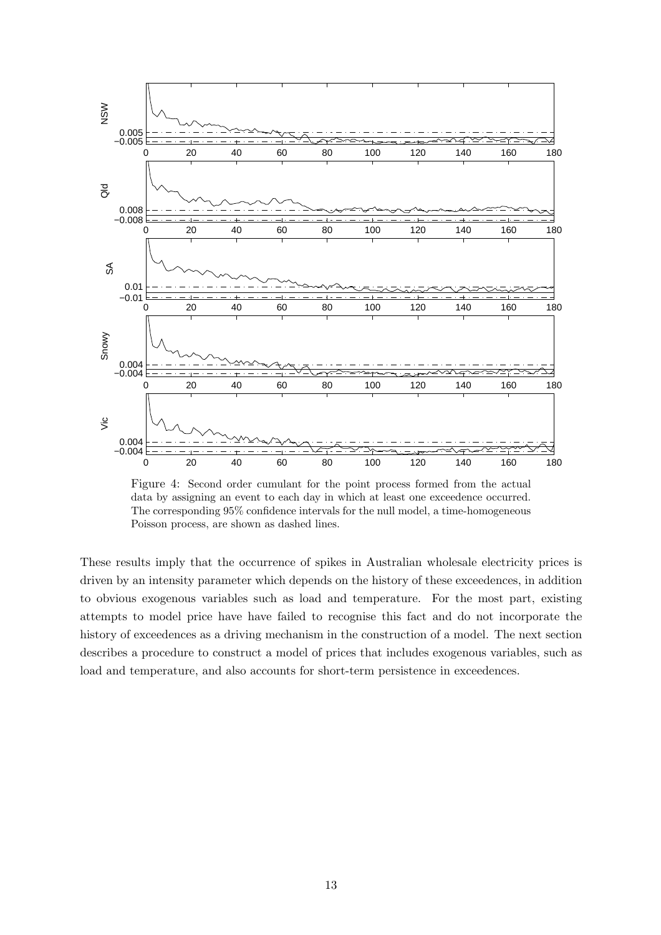

Figure 4: Second order cumulant for the point process formed from the actual data by assigning an event to each day in which at least one exceedence occurred. The corresponding 95% confidence intervals for the null model, a time-homogeneous Poisson process, are shown as dashed lines.

These results imply that the occurrence of spikes in Australian wholesale electricity prices is driven by an intensity parameter which depends on the history of these exceedences, in addition to obvious exogenous variables such as load and temperature. For the most part, existing attempts to model price have have failed to recognise this fact and do not incorporate the history of exceedences as a driving mechanism in the construction of a model. The next section describes a procedure to construct a model of prices that includes exogenous variables, such as load and temperature, and also accounts for short-term persistence in exceedences.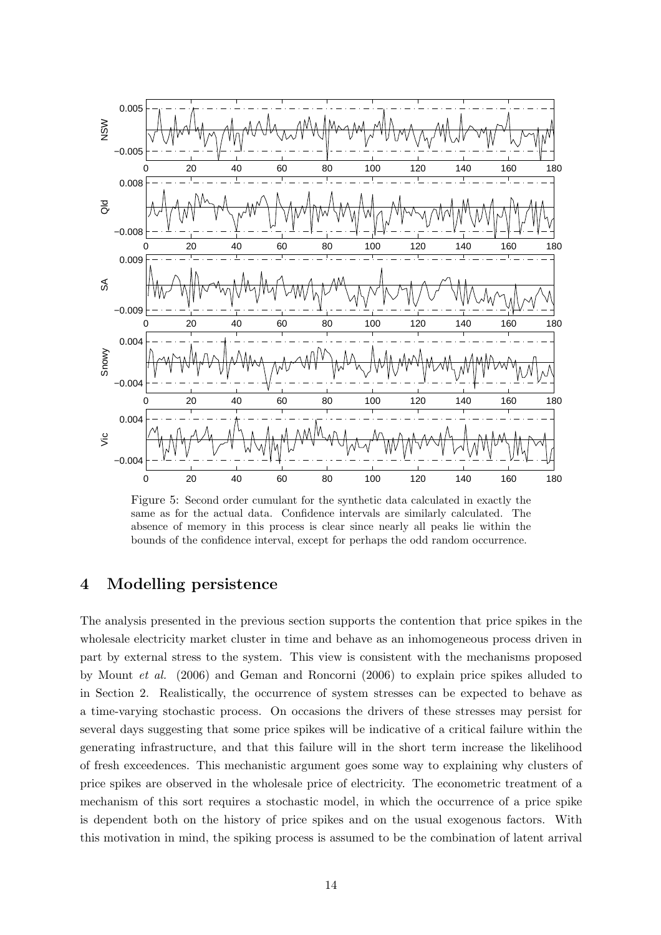

Figure 5: Second order cumulant for the synthetic data calculated in exactly the same as for the actual data. Confidence intervals are similarly calculated. The absence of memory in this process is clear since nearly all peaks lie within the bounds of the confidence interval, except for perhaps the odd random occurrence.

### 4 Modelling persistence

The analysis presented in the previous section supports the contention that price spikes in the wholesale electricity market cluster in time and behave as an inhomogeneous process driven in part by external stress to the system. This view is consistent with the mechanisms proposed by Mount et al. (2006) and Geman and Roncorni (2006) to explain price spikes alluded to in Section 2. Realistically, the occurrence of system stresses can be expected to behave as a time-varying stochastic process. On occasions the drivers of these stresses may persist for several days suggesting that some price spikes will be indicative of a critical failure within the generating infrastructure, and that this failure will in the short term increase the likelihood of fresh exceedences. This mechanistic argument goes some way to explaining why clusters of price spikes are observed in the wholesale price of electricity. The econometric treatment of a mechanism of this sort requires a stochastic model, in which the occurrence of a price spike is dependent both on the history of price spikes and on the usual exogenous factors. With this motivation in mind, the spiking process is assumed to be the combination of latent arrival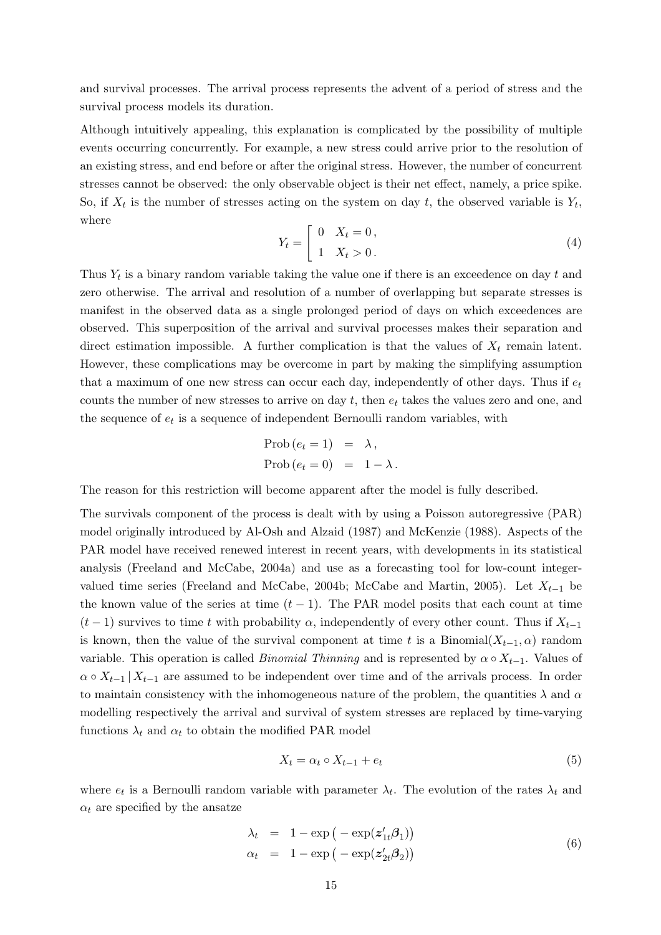and survival processes. The arrival process represents the advent of a period of stress and the survival process models its duration.

Although intuitively appealing, this explanation is complicated by the possibility of multiple events occurring concurrently. For example, a new stress could arrive prior to the resolution of an existing stress, and end before or after the original stress. However, the number of concurrent stresses cannot be observed: the only observable object is their net effect, namely, a price spike. So, if  $X_t$  is the number of stresses acting on the system on day t, the observed variable is  $Y_t$ , where .<br> $\overline{r}$ 

$$
Y_t = \begin{bmatrix} 0 & X_t = 0, \\ 1 & X_t > 0. \end{bmatrix}
$$
 (4)

Thus  $Y_t$  is a binary random variable taking the value one if there is an exceedence on day t and zero otherwise. The arrival and resolution of a number of overlapping but separate stresses is manifest in the observed data as a single prolonged period of days on which exceedences are observed. This superposition of the arrival and survival processes makes their separation and direct estimation impossible. A further complication is that the values of  $X_t$  remain latent. However, these complications may be overcome in part by making the simplifying assumption that a maximum of one new stress can occur each day, independently of other days. Thus if  $e_t$ counts the number of new stresses to arrive on day  $t$ , then  $e_t$  takes the values zero and one, and the sequence of  $e_t$  is a sequence of independent Bernoulli random variables, with

$$
\begin{aligned} &\text{Prob}\left(e_{t}=1\right) &= \lambda, \\ &\text{Prob}\left(e_{t}=0\right) &= 1-\lambda. \end{aligned}
$$

The reason for this restriction will become apparent after the model is fully described.

The survivals component of the process is dealt with by using a Poisson autoregressive (PAR) model originally introduced by Al-Osh and Alzaid (1987) and McKenzie (1988). Aspects of the PAR model have received renewed interest in recent years, with developments in its statistical analysis (Freeland and McCabe, 2004a) and use as a forecasting tool for low-count integervalued time series (Freeland and McCabe, 2004b; McCabe and Martin, 2005). Let  $X_{t-1}$  be the known value of the series at time  $(t-1)$ . The PAR model posits that each count at time  $(t-1)$  survives to time t with probability  $\alpha$ , independently of every other count. Thus if  $X_{t-1}$ is known, then the value of the survival component at time t is a Binomial $(X_{t-1}, \alpha)$  random variable. This operation is called *Binomial Thinning* and is represented by  $\alpha \circ X_{t-1}$ . Values of  $\alpha \circ X_{t-1} | X_{t-1}$  are assumed to be independent over time and of the arrivals process. In order to maintain consistency with the inhomogeneous nature of the problem, the quantities  $\lambda$  and  $\alpha$ modelling respectively the arrival and survival of system stresses are replaced by time-varying functions  $\lambda_t$  and  $\alpha_t$  to obtain the modified PAR model

$$
X_t = \alpha_t \circ X_{t-1} + e_t \tag{5}
$$

where  $e_t$  is a Bernoulli random variable with parameter  $\lambda_t$ . The evolution of the rates  $\lambda_t$  and  $\alpha_t$  are specified by the ansatze

$$
\lambda_t = 1 - \exp(-\exp(z'_{1t}\beta_1))
$$
  
\n
$$
\alpha_t = 1 - \exp(-\exp(z'_{2t}\beta_2))
$$
\n(6)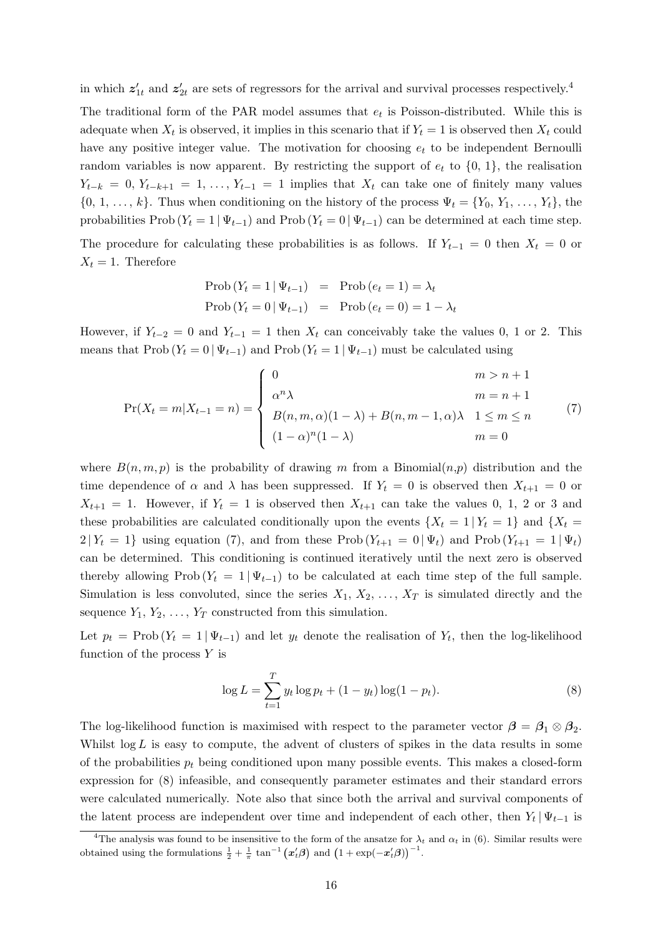in which  $z'_{1t}$  and  $z'_{2t}$  are sets of regressors for the arrival and survival processes respectively.<sup>4</sup>

The traditional form of the PAR model assumes that  $e_t$  is Poisson-distributed. While this is adequate when  $X_t$  is observed, it implies in this scenario that if  $Y_t = 1$  is observed then  $X_t$  could have any positive integer value. The motivation for choosing  $e_t$  to be independent Bernoulli random variables is now apparent. By restricting the support of  $e_t$  to  $\{0, 1\}$ , the realisation  $Y_{t-k} = 0, Y_{t-k+1} = 1, \ldots, Y_{t-1} = 1$  implies that  $X_t$  can take one of finitely many values  $\{0, 1, \ldots, k\}$ . Thus when conditioning on the history of the process  $\Psi_t = \{Y_0, Y_1, \ldots, Y_t\}$ , the probabilities Prob ( $Y_t = 1 | \Psi_{t-1}$ ) and Prob ( $Y_t = 0 | \Psi_{t-1}$ ) can be determined at each time step.

The procedure for calculating these probabilities is as follows. If  $Y_{t-1} = 0$  then  $X_t = 0$  or  $X_t = 1$ . Therefore

$$
\begin{aligned} \text{Prob}\left(Y_t = 1 \,|\, \Psi_{t-1}\right) &= \text{Prob}\left(e_t = 1\right) = \lambda_t \\ \text{Prob}\left(Y_t = 0 \,|\, \Psi_{t-1}\right) &= \text{Prob}\left(e_t = 0\right) = 1 - \lambda_t \end{aligned}
$$

However, if  $Y_{t-2} = 0$  and  $Y_{t-1} = 1$  then  $X_t$  can conceivably take the values 0, 1 or 2. This means that Prob ( $Y_t = 0 | \Psi_{t-1}$ ) and Prob ( $Y_t = 1 | \Psi_{t-1}$ ) must be calculated using

$$
\Pr(X_t = m | X_{t-1} = n) = \begin{cases} 0 & m > n+1 \\ \alpha^n \lambda & m = n+1 \\ B(n, m, \alpha)(1 - \lambda) + B(n, m-1, \alpha)\lambda & 1 \le m \le n \\ (1 - \alpha)^n (1 - \lambda) & m = 0 \end{cases}
$$
(7)

where  $B(n, m, p)$  is the probability of drawing m from a Binomial $(n, p)$  distribution and the time dependence of  $\alpha$  and  $\lambda$  has been suppressed. If  $Y_t = 0$  is observed then  $X_{t+1} = 0$  or  $X_{t+1} = 1$ . However, if  $Y_t = 1$  is observed then  $X_{t+1}$  can take the values 0, 1, 2 or 3 and these probabilities are calculated conditionally upon the events  $\{X_t = 1 | Y_t = 1\}$  and  $\{X_t =$  $2|Y_t = 1$  using equation (7), and from these Prob  $(Y_{t+1} = 0 | \Psi_t)$  and Prob  $(Y_{t+1} = 1 | \Psi_t)$ can be determined. This conditioning is continued iteratively until the next zero is observed thereby allowing Prob ( $Y_t = 1 | \Psi_{t-1}$ ) to be calculated at each time step of the full sample. Simulation is less convoluted, since the series  $X_1, X_2, \ldots, X_T$  is simulated directly and the sequence  $Y_1, Y_2, \ldots, Y_T$  constructed from this simulation.

Let  $p_t = \text{Prob}(Y_t = 1 | \Psi_{t-1})$  and let  $y_t$  denote the realisation of  $Y_t$ , then the log-likelihood function of the process  $Y$  is

$$
\log L = \sum_{t=1}^{T} y_t \log p_t + (1 - y_t) \log(1 - p_t).
$$
 (8)

The log-likelihood function is maximised with respect to the parameter vector  $\beta = \beta_1 \otimes \beta_2$ . Whilst  $\log L$  is easy to compute, the advent of clusters of spikes in the data results in some of the probabilities  $p_t$  being conditioned upon many possible events. This makes a closed-form expression for (8) infeasible, and consequently parameter estimates and their standard errors were calculated numerically. Note also that since both the arrival and survival components of the latent process are independent over time and independent of each other, then  $Y_t | \Psi_{t-1}$  is

<sup>&</sup>lt;sup>4</sup>The analysis was found to be insensitive to the form of the ansatze for  $\lambda_t$  and  $\alpha_t$  in (6). Similar results were obtained using the formulations  $\frac{1}{2} + \frac{1}{\pi} \tan^{-1} (x'_t \beta)$  and  $(1 + \exp(-x'_t \beta))^{-1}$ .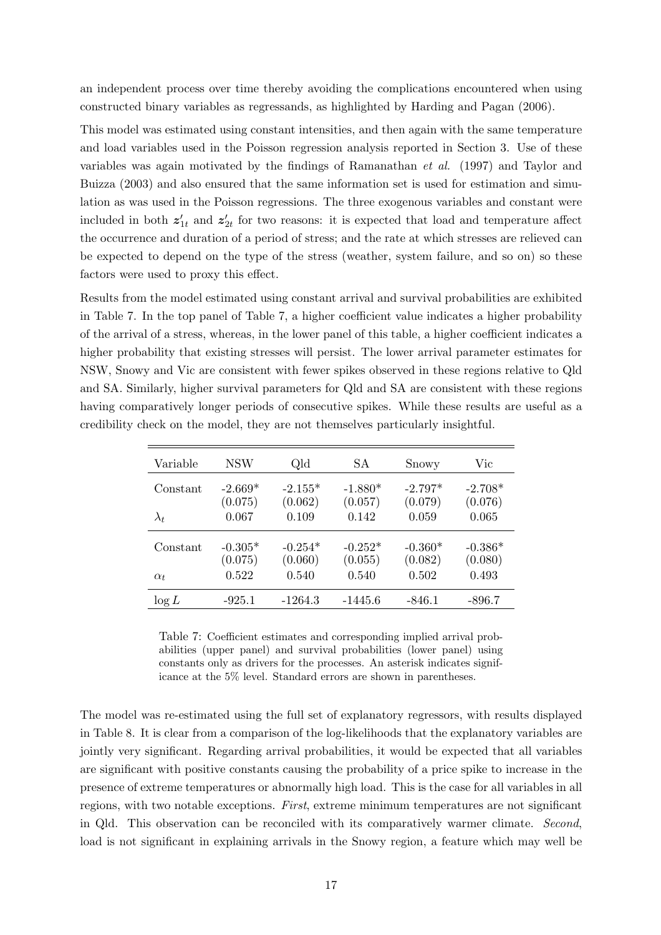an independent process over time thereby avoiding the complications encountered when using constructed binary variables as regressands, as highlighted by Harding and Pagan (2006).

This model was estimated using constant intensities, and then again with the same temperature and load variables used in the Poisson regression analysis reported in Section 3. Use of these variables was again motivated by the findings of Ramanathan et al. (1997) and Taylor and Buizza (2003) and also ensured that the same information set is used for estimation and simulation as was used in the Poisson regressions. The three exogenous variables and constant were included in both  $z'_{1t}$  and  $z'_{2t}$  for two reasons: it is expected that load and temperature affect the occurrence and duration of a period of stress; and the rate at which stresses are relieved can be expected to depend on the type of the stress (weather, system failure, and so on) so these factors were used to proxy this effect.

Results from the model estimated using constant arrival and survival probabilities are exhibited in Table 7. In the top panel of Table 7, a higher coefficient value indicates a higher probability of the arrival of a stress, whereas, in the lower panel of this table, a higher coefficient indicates a higher probability that existing stresses will persist. The lower arrival parameter estimates for NSW, Snowy and Vic are consistent with fewer spikes observed in these regions relative to Qld and SA. Similarly, higher survival parameters for Qld and SA are consistent with these regions having comparatively longer periods of consecutive spikes. While these results are useful as a credibility check on the model, they are not themselves particularly insightful.

| Variable    | NSW                  | Qld                  | SА                   | Snowy                | Vic                  |
|-------------|----------------------|----------------------|----------------------|----------------------|----------------------|
| Constant    | $-2.669*$<br>(0.075) | $-2.155*$<br>(0.062) | $-1.880*$<br>(0.057) | $-2.797*$<br>(0.079) | $-2.708*$<br>(0.076) |
| $\lambda_t$ | 0.067                | 0.109                | 0.142                | 0.059                | 0.065                |
| Constant    | $-0.305*$<br>(0.075) | $-0.254*$<br>(0.060) | $-0.252*$<br>(0.055) | $-0.360*$<br>(0.082) | $-0.386*$<br>(0.080) |
| $\alpha_t$  | 0.522                | 0.540                | 0.540                | 0.502                | 0.493                |
| $\log L$    | $-925.1$             | $-1264.3$            | -1445.6              | -846.1               | $-896.7$             |

Table 7: Coefficient estimates and corresponding implied arrival probabilities (upper panel) and survival probabilities (lower panel) using constants only as drivers for the processes. An asterisk indicates significance at the 5% level. Standard errors are shown in parentheses.

The model was re-estimated using the full set of explanatory regressors, with results displayed in Table 8. It is clear from a comparison of the log-likelihoods that the explanatory variables are jointly very significant. Regarding arrival probabilities, it would be expected that all variables are significant with positive constants causing the probability of a price spike to increase in the presence of extreme temperatures or abnormally high load. This is the case for all variables in all regions, with two notable exceptions. First, extreme minimum temperatures are not significant in Qld. This observation can be reconciled with its comparatively warmer climate. Second, load is not significant in explaining arrivals in the Snowy region, a feature which may well be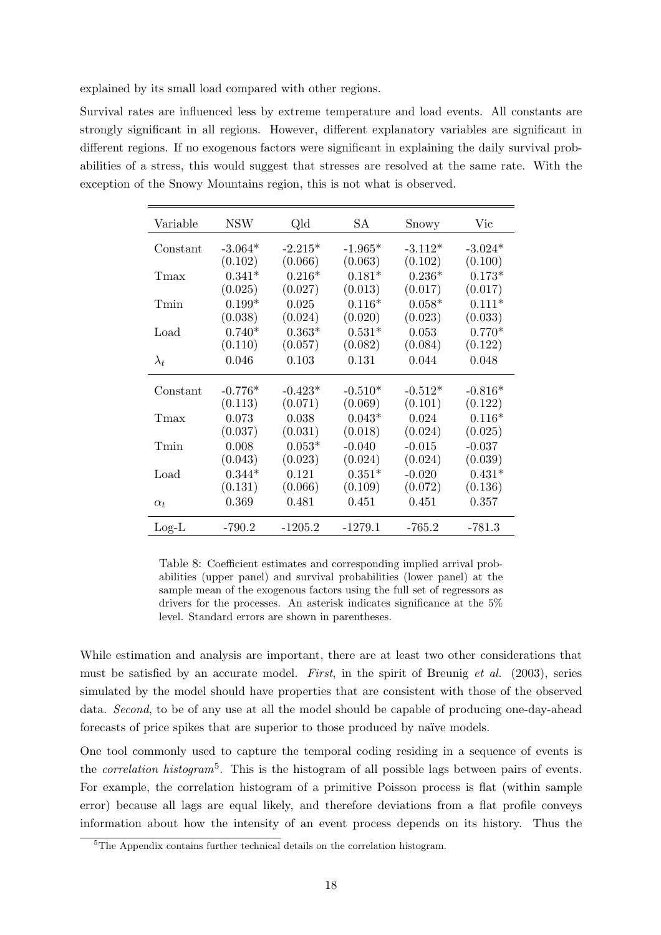explained by its small load compared with other regions.

Survival rates are influenced less by extreme temperature and load events. All constants are strongly significant in all regions. However, different explanatory variables are significant in different regions. If no exogenous factors were significant in explaining the daily survival probabilities of a stress, this would suggest that stresses are resolved at the same rate. With the exception of the Snowy Mountains region, this is not what is observed.

| Variable    | <b>NSW</b> | Qld       | SА        | Snowy     | Vic       |
|-------------|------------|-----------|-----------|-----------|-----------|
| Constant    | $-3.064*$  | $-2.215*$ | $-1.965*$ | $-3.112*$ | $-3.024*$ |
|             | (0.102)    | (0.066)   | (0.063)   | (0.102)   | (0.100)   |
| Tmax        | $0.341*$   | $0.216*$  | $0.181*$  | $0.236*$  | $0.173*$  |
|             | (0.025)    | (0.027)   | (0.013)   | (0.017)   | (0.017)   |
| Tmin        | $0.199*$   | 0.025     | $0.116*$  | $0.058*$  | $0.111*$  |
|             | (0.038)    | (0.024)   | (0.020)   | (0.023)   | (0.033)   |
| Load        | $0.740*$   | $0.363*$  | $0.531*$  | 0.053     | $0.770*$  |
|             | (0.110)    | (0.057)   | (0.082)   | (0.084)   | (0.122)   |
| $\lambda_t$ | 0.046      | 0.103     | 0.131     | 0.044     | 0.048     |
| Constant    | $-0.776*$  | $-0.423*$ | $-0.510*$ | $-0.512*$ | $-0.816*$ |
|             | (0.113)    | (0.071)   | (0.069)   | (0.101)   | (0.122)   |
| Tmax        | 0.073      | 0.038     | $0.043*$  | 0.024     | $0.116*$  |
|             | (0.037)    | (0.031)   | (0.018)   | (0.024)   | (0.025)   |
| Tmin        | 0.008      | $0.053*$  | $-0.040$  | $-0.015$  | $-0.037$  |
|             | (0.043)    | (0.023)   | (0.024)   | (0.024)   | (0.039)   |
| Load        | $0.344*$   | 0.121     | $0.351*$  | $-0.020$  | $0.431*$  |
|             | (0.131)    | (0.066)   | (0.109)   | (0.072)   | (0.136)   |
| $\alpha_t$  | 0.369      | 0.481     | 0.451     | 0.451     | 0.357     |
| $Log-L$     | -790.2     | $-1205.2$ | $-1279.1$ | -765.2    | -781.3    |

Table 8: Coefficient estimates and corresponding implied arrival probabilities (upper panel) and survival probabilities (lower panel) at the sample mean of the exogenous factors using the full set of regressors as drivers for the processes. An asterisk indicates significance at the 5% level. Standard errors are shown in parentheses.

While estimation and analysis are important, there are at least two other considerations that must be satisfied by an accurate model. First, in the spirit of Breunig et al.  $(2003)$ , series simulated by the model should have properties that are consistent with those of the observed data. *Second*, to be of any use at all the model should be capable of producing one-day-ahead forecasts of price spikes that are superior to those produced by naïve models.

One tool commonly used to capture the temporal coding residing in a sequence of events is the *correlation histogram*<sup>5</sup>. This is the histogram of all possible lags between pairs of events. For example, the correlation histogram of a primitive Poisson process is flat (within sample error) because all lags are equal likely, and therefore deviations from a flat profile conveys information about how the intensity of an event process depends on its history. Thus the

<sup>&</sup>lt;sup>5</sup>The Appendix contains further technical details on the correlation histogram.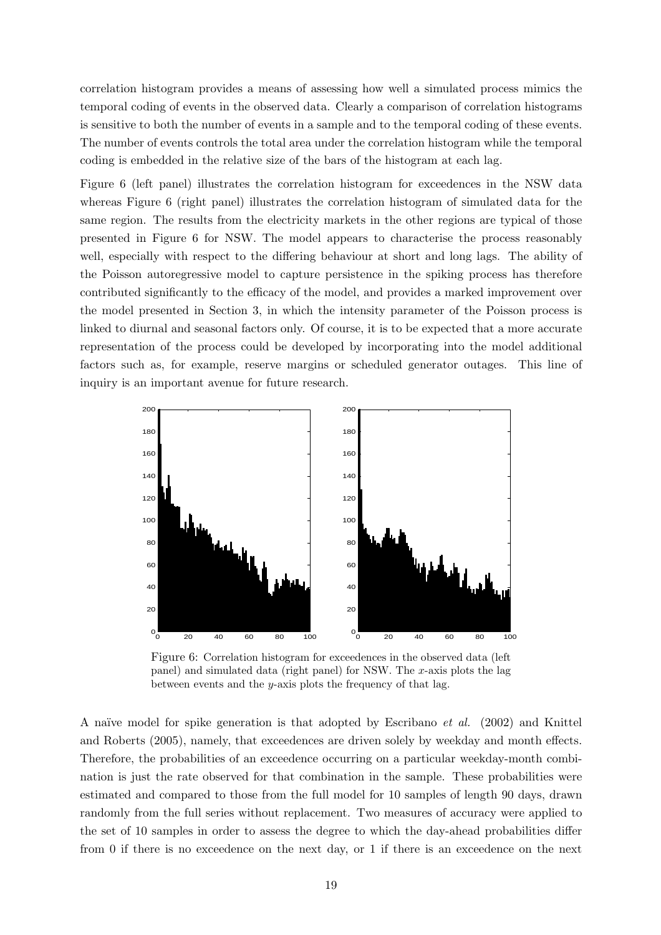correlation histogram provides a means of assessing how well a simulated process mimics the temporal coding of events in the observed data. Clearly a comparison of correlation histograms is sensitive to both the number of events in a sample and to the temporal coding of these events. The number of events controls the total area under the correlation histogram while the temporal coding is embedded in the relative size of the bars of the histogram at each lag.

Figure 6 (left panel) illustrates the correlation histogram for exceedences in the NSW data whereas Figure 6 (right panel) illustrates the correlation histogram of simulated data for the same region. The results from the electricity markets in the other regions are typical of those presented in Figure 6 for NSW. The model appears to characterise the process reasonably well, especially with respect to the differing behaviour at short and long lags. The ability of the Poisson autoregressive model to capture persistence in the spiking process has therefore contributed significantly to the efficacy of the model, and provides a marked improvement over the model presented in Section 3, in which the intensity parameter of the Poisson process is linked to diurnal and seasonal factors only. Of course, it is to be expected that a more accurate representation of the process could be developed by incorporating into the model additional factors such as, for example, reserve margins or scheduled generator outages. This line of inquiry is an important avenue for future research.



Figure 6: Correlation histogram for exceedences in the observed data (left panel) and simulated data (right panel) for NSW. The x-axis plots the lag between events and the  $y$ -axis plots the frequency of that lag.

A naïve model for spike generation is that adopted by Escribano *et al.* (2002) and Knittel and Roberts (2005), namely, that exceedences are driven solely by weekday and month effects. Therefore, the probabilities of an exceedence occurring on a particular weekday-month combination is just the rate observed for that combination in the sample. These probabilities were estimated and compared to those from the full model for 10 samples of length 90 days, drawn randomly from the full series without replacement. Two measures of accuracy were applied to the set of 10 samples in order to assess the degree to which the day-ahead probabilities differ from 0 if there is no exceedence on the next day, or 1 if there is an exceedence on the next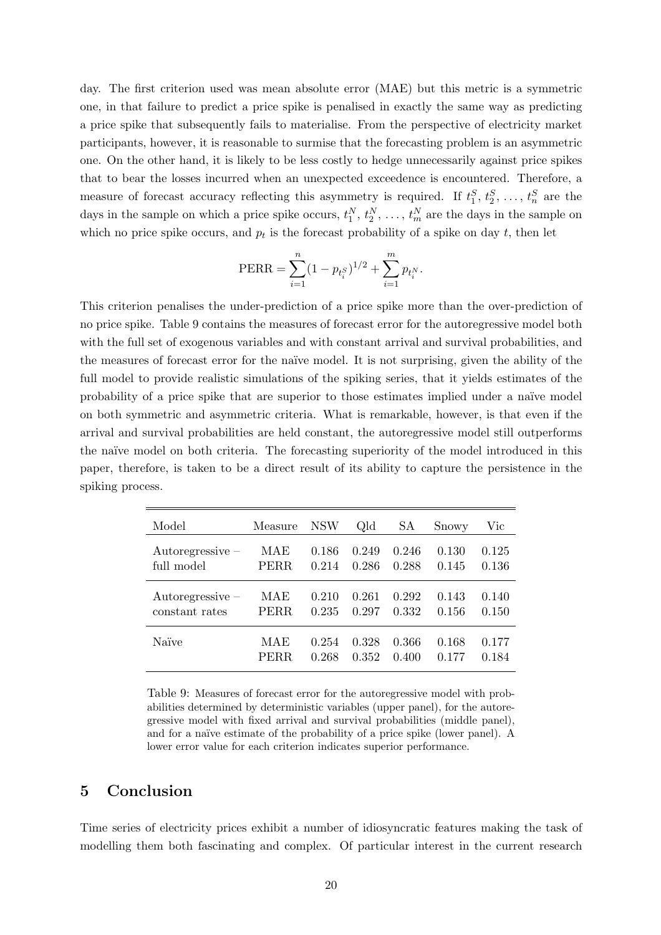day. The first criterion used was mean absolute error (MAE) but this metric is a symmetric one, in that failure to predict a price spike is penalised in exactly the same way as predicting a price spike that subsequently fails to materialise. From the perspective of electricity market participants, however, it is reasonable to surmise that the forecasting problem is an asymmetric one. On the other hand, it is likely to be less costly to hedge unnecessarily against price spikes that to bear the losses incurred when an unexpected exceedence is encountered. Therefore, a measure of forecast accuracy reflecting this asymmetry is required. If  $t_1^S, t_2^S, \ldots, t_n^S$  are the days in the sample on which a price spike occurs,  $t_1^N, t_2^N, \ldots, t_m^N$  are the days in the sample on which no price spike occurs, and  $p_t$  is the forecast probability of a spike on day  $t$ , then let

PERR = 
$$
\sum_{i=1}^{n} (1 - p_{t_i^S})^{1/2} + \sum_{i=1}^{m} p_{t_i^N}.
$$

This criterion penalises the under-prediction of a price spike more than the over-prediction of no price spike. Table 9 contains the measures of forecast error for the autoregressive model both with the full set of exogenous variables and with constant arrival and survival probabilities, and the measures of forecast error for the na¨ıve model. It is not surprising, given the ability of the full model to provide realistic simulations of the spiking series, that it yields estimates of the probability of a price spike that are superior to those estimates implied under a na¨ıve model on both symmetric and asymmetric criteria. What is remarkable, however, is that even if the arrival and survival probabilities are held constant, the autoregressive model still outperforms the naïve model on both criteria. The forecasting superiority of the model introduced in this paper, therefore, is taken to be a direct result of its ability to capture the persistence in the spiking process.

| Model              | Measure     | <b>NSW</b> | Qld   | SА    | Snowy | Vic   |
|--------------------|-------------|------------|-------|-------|-------|-------|
| Autoregressive $-$ | MAE         | 0.186      | 0.249 | 0.246 | 0.130 | 0.125 |
| full model         | PERR        | 0.214      | 0.286 | 0.288 | 0.145 | 0.136 |
| Autoregressive $-$ | MAE         | 0.210      | 0.261 | 0.292 | 0.143 | 0.140 |
| constant rates     | <b>PERR</b> | 0.235      | 0.297 | 0.332 | 0.156 | 0.150 |
| Naïve              | MAE         | 0.254      | 0.328 | 0.366 | 0.168 | 0.177 |
|                    | PERR        | 0.268      | 0.352 | 0.400 | 0.177 | 0.184 |

Table 9: Measures of forecast error for the autoregressive model with probabilities determined by deterministic variables (upper panel), for the autoregressive model with fixed arrival and survival probabilities (middle panel), and for a naïve estimate of the probability of a price spike (lower panel). A lower error value for each criterion indicates superior performance.

#### 5 Conclusion

Time series of electricity prices exhibit a number of idiosyncratic features making the task of modelling them both fascinating and complex. Of particular interest in the current research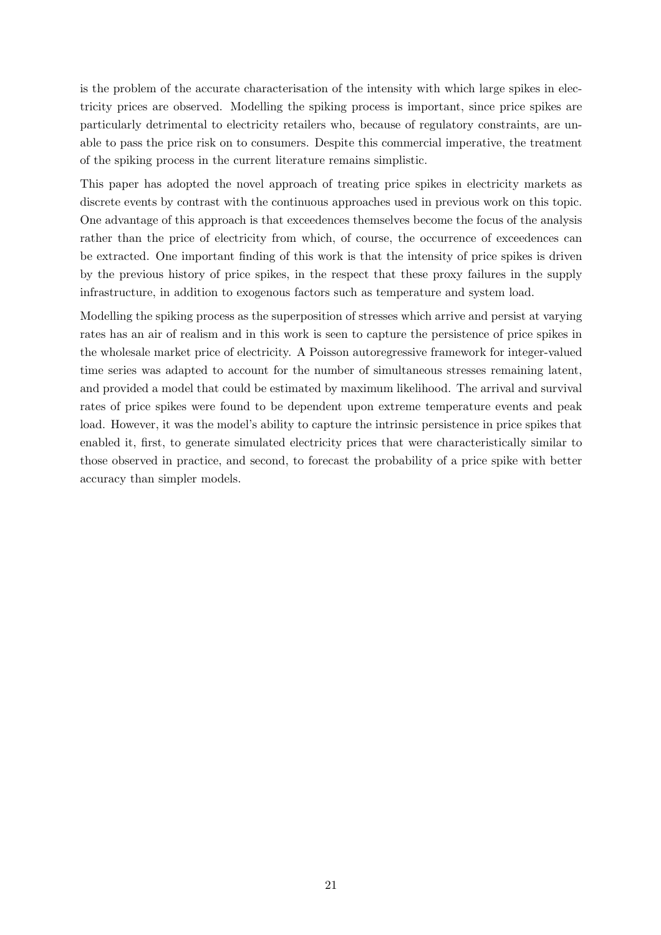is the problem of the accurate characterisation of the intensity with which large spikes in electricity prices are observed. Modelling the spiking process is important, since price spikes are particularly detrimental to electricity retailers who, because of regulatory constraints, are unable to pass the price risk on to consumers. Despite this commercial imperative, the treatment of the spiking process in the current literature remains simplistic.

This paper has adopted the novel approach of treating price spikes in electricity markets as discrete events by contrast with the continuous approaches used in previous work on this topic. One advantage of this approach is that exceedences themselves become the focus of the analysis rather than the price of electricity from which, of course, the occurrence of exceedences can be extracted. One important finding of this work is that the intensity of price spikes is driven by the previous history of price spikes, in the respect that these proxy failures in the supply infrastructure, in addition to exogenous factors such as temperature and system load.

Modelling the spiking process as the superposition of stresses which arrive and persist at varying rates has an air of realism and in this work is seen to capture the persistence of price spikes in the wholesale market price of electricity. A Poisson autoregressive framework for integer-valued time series was adapted to account for the number of simultaneous stresses remaining latent, and provided a model that could be estimated by maximum likelihood. The arrival and survival rates of price spikes were found to be dependent upon extreme temperature events and peak load. However, it was the model's ability to capture the intrinsic persistence in price spikes that enabled it, first, to generate simulated electricity prices that were characteristically similar to those observed in practice, and second, to forecast the probability of a price spike with better accuracy than simpler models.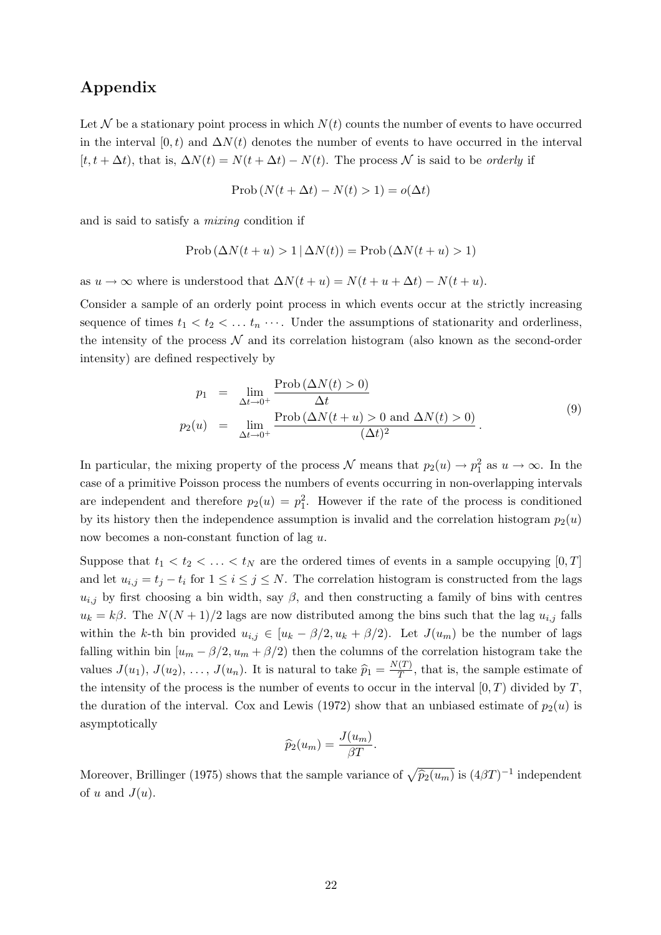## Appendix

Let N be a stationary point process in which  $N(t)$  counts the number of events to have occurred in the interval  $[0, t)$  and  $\Delta N(t)$  denotes the number of events to have occurred in the interval  $[t, t + \Delta t)$ , that is,  $\Delta N(t) = N(t + \Delta t) - N(t)$ . The process N is said to be *orderly* if

$$
\text{Prob}\left(N(t + \Delta t) - N(t) > 1\right) = o(\Delta t)
$$

and is said to satisfy a mixing condition if

$$
\text{Prob}\left(\Delta N(t+u) > 1 \,|\, \Delta N(t)\right) = \text{Prob}\left(\Delta N(t+u) > 1\right)
$$

as  $u \to \infty$  where is understood that  $\Delta N(t+u) = N(t+u+\Delta t) - N(t+u)$ .

Consider a sample of an orderly point process in which events occur at the strictly increasing sequence of times  $t_1 < t_2 < \ldots t_n$   $\cdots$ . Under the assumptions of stationarity and orderliness, the intensity of the process  $\mathcal N$  and its correlation histogram (also known as the second-order intensity) are defined respectively by

$$
p_1 = \lim_{\Delta t \to 0^+} \frac{\text{Prob}(\Delta N(t) > 0)}{\Delta t}
$$
  
\n
$$
p_2(u) = \lim_{\Delta t \to 0^+} \frac{\text{Prob}(\Delta N(t+u) > 0 \text{ and } \Delta N(t) > 0)}{(\Delta t)^2}.
$$
\n(9)

In particular, the mixing property of the process  $\mathcal N$  means that  $p_2(u) \to p_1^2$  as  $u \to \infty$ . In the case of a primitive Poisson process the numbers of events occurring in non-overlapping intervals are independent and therefore  $p_2(u) = p_1^2$ . However if the rate of the process is conditioned by its history then the independence assumption is invalid and the correlation histogram  $p_2(u)$ now becomes a non-constant function of lag u.

Suppose that  $t_1 < t_2 < \ldots < t_N$  are the ordered times of events in a sample occupying  $[0, T]$ and let  $u_{i,j} = t_j - t_i$  for  $1 \leq i \leq j \leq N$ . The correlation histogram is constructed from the lags  $u_{i,j}$  by first choosing a bin width, say  $\beta$ , and then constructing a family of bins with centres  $u_k = k\beta$ . The  $N(N+1)/2$  lags are now distributed among the bins such that the lag  $u_{i,j}$  falls within the k-th bin provided  $u_{i,j} \in [u_k - \beta/2, u_k + \beta/2]$ . Let  $J(u_m)$  be the number of lags falling within bin  $[u_m - \beta/2, u_m + \beta/2]$  then the columns of the correlation histogram take the values  $J(u_1), J(u_2), \ldots, J(u_n)$ . It is natural to take  $\widehat{p}_1 = \frac{N(T)}{T}$  $\frac{(1)}{T}$ , that is, the sample estimate of the intensity of the process is the number of events to occur in the interval  $[0, T)$  divided by T, the duration of the interval. Cox and Lewis (1972) show that an unbiased estimate of  $p_2(u)$  is asymptotically

$$
\widehat{p}_2(u_m) = \frac{J(u_m)}{\beta T}.
$$

Moreover, Brillinger (1975) shows that the sample variance of  $\sqrt{\hat{p}_2(u_m)}$  is  $(4\beta T)^{-1}$  independent of u and  $J(u)$ .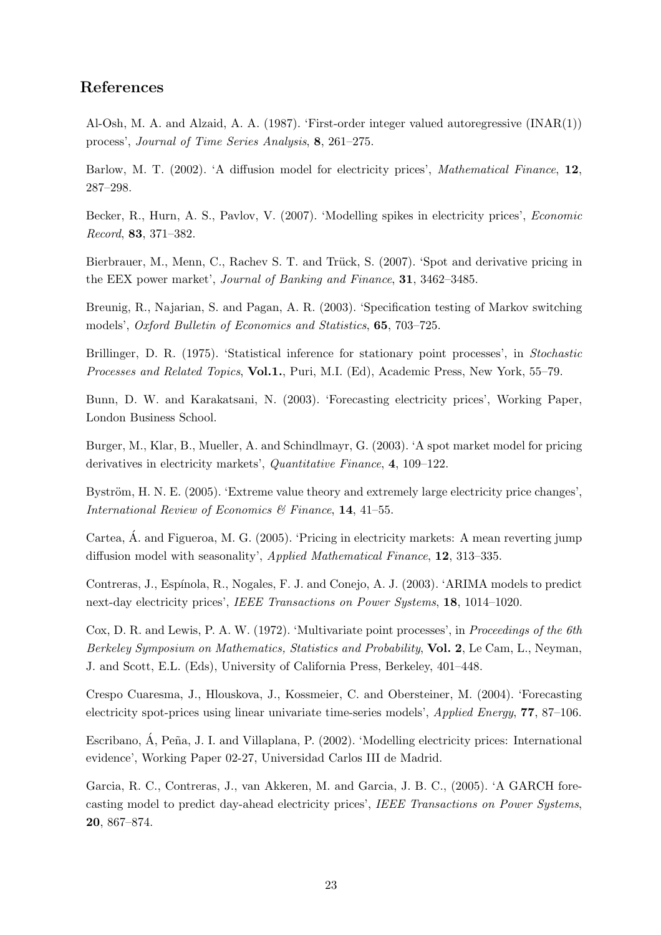# References

Al-Osh, M. A. and Alzaid, A. A. (1987). 'First-order integer valued autoregressive (INAR(1)) process', Journal of Time Series Analysis, 8, 261–275.

Barlow, M. T. (2002). 'A diffusion model for electricity prices', *Mathematical Finance*, 12, 287–298.

Becker, R., Hurn, A. S., Pavlov, V. (2007). 'Modelling spikes in electricity prices', Economic Record, 83, 371–382.

Bierbrauer, M., Menn, C., Rachev S. T. and Trück, S. (2007). 'Spot and derivative pricing in the EEX power market', Journal of Banking and Finance, 31, 3462–3485.

Breunig, R., Najarian, S. and Pagan, A. R. (2003). 'Specification testing of Markov switching models', Oxford Bulletin of Economics and Statistics, 65, 703–725.

Brillinger, D. R. (1975). 'Statistical inference for stationary point processes', in Stochastic Processes and Related Topics, Vol.1., Puri, M.I. (Ed), Academic Press, New York, 55–79.

Bunn, D. W. and Karakatsani, N. (2003). 'Forecasting electricity prices', Working Paper, London Business School.

Burger, M., Klar, B., Mueller, A. and Schindlmayr, G. (2003). 'A spot market model for pricing derivatives in electricity markets', Quantitative Finance, 4, 109–122.

Byström, H. N. E. (2005). 'Extreme value theory and extremely large electricity price changes', International Review of Economics & Finance, 14, 41–55.

Cartea, A. and Figueroa, M. G. (2005). 'Pricing in electricity markets: A mean reverting jump ´ diffusion model with seasonality', Applied Mathematical Finance, 12, 313–335.

Contreras, J., Espínola, R., Nogales, F. J. and Conejo, A. J. (2003). 'ARIMA models to predict next-day electricity prices', IEEE Transactions on Power Systems, 18, 1014–1020.

Cox, D. R. and Lewis, P. A. W. (1972). 'Multivariate point processes', in *Proceedings of the 6th* Berkeley Symposium on Mathematics, Statistics and Probability, Vol. 2, Le Cam, L., Neyman, J. and Scott, E.L. (Eds), University of California Press, Berkeley, 401–448.

Crespo Cuaresma, J., Hlouskova, J., Kossmeier, C. and Obersteiner, M. (2004). 'Forecasting electricity spot-prices using linear univariate time-series models', Applied Energy, 77, 87–106.

Escribano, Á, Peña, J. I. and Villaplana, P. (2002). 'Modelling electricity prices: International evidence', Working Paper 02-27, Universidad Carlos III de Madrid.

Garcia, R. C., Contreras, J., van Akkeren, M. and Garcia, J. B. C., (2005). 'A GARCH forecasting model to predict day-ahead electricity prices', IEEE Transactions on Power Systems, 20, 867–874.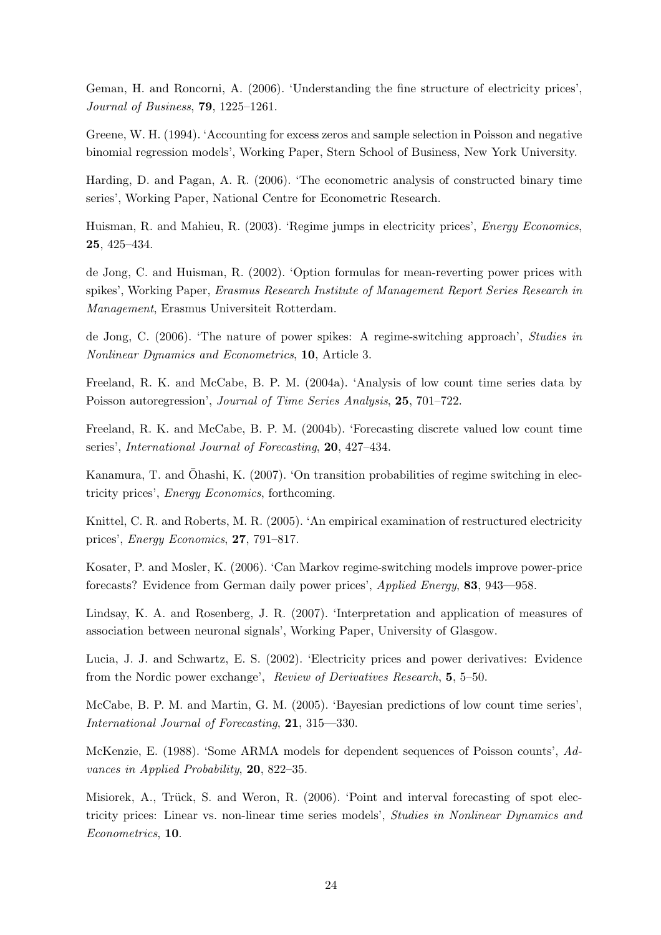Geman, H. and Roncorni, A. (2006). 'Understanding the fine structure of electricity prices', Journal of Business, 79, 1225–1261.

Greene, W. H. (1994). 'Accounting for excess zeros and sample selection in Poisson and negative binomial regression models', Working Paper, Stern School of Business, New York University.

Harding, D. and Pagan, A. R. (2006). 'The econometric analysis of constructed binary time series', Working Paper, National Centre for Econometric Research.

Huisman, R. and Mahieu, R. (2003). 'Regime jumps in electricity prices', *Energy Economics*, 25, 425–434.

de Jong, C. and Huisman, R. (2002). 'Option formulas for mean-reverting power prices with spikes', Working Paper, Erasmus Research Institute of Management Report Series Research in Management, Erasmus Universiteit Rotterdam.

de Jong, C. (2006). 'The nature of power spikes: A regime-switching approach', Studies in Nonlinear Dynamics and Econometrics, 10, Article 3.

Freeland, R. K. and McCabe, B. P. M. (2004a). 'Analysis of low count time series data by Poisson autoregression', Journal of Time Series Analysis, 25, 701–722.

Freeland, R. K. and McCabe, B. P. M. (2004b). 'Forecasting discrete valued low count time series', *International Journal of Forecasting*, **20**, 427–434.

Kanamura, T. and Ōhashi, K. (2007). 'On transition probabilities of regime switching in electricity prices', Energy Economics, forthcoming.

Knittel, C. R. and Roberts, M. R. (2005). 'An empirical examination of restructured electricity prices', Energy Economics, 27, 791–817.

Kosater, P. and Mosler, K. (2006). 'Can Markov regime-switching models improve power-price forecasts? Evidence from German daily power prices', Applied Energy, 83, 943—958.

Lindsay, K. A. and Rosenberg, J. R. (2007). 'Interpretation and application of measures of association between neuronal signals', Working Paper, University of Glasgow.

Lucia, J. J. and Schwartz, E. S. (2002). 'Electricity prices and power derivatives: Evidence from the Nordic power exchange', Review of Derivatives Research, 5, 5–50.

McCabe, B. P. M. and Martin, G. M. (2005). 'Bayesian predictions of low count time series', International Journal of Forecasting, 21, 315—330.

McKenzie, E. (1988). 'Some ARMA models for dependent sequences of Poisson counts', Advances in Applied Probability, 20, 822–35.

Misiorek, A., Trück, S. and Weron, R.  $(2006)$ . 'Point and interval forecasting of spot electricity prices: Linear vs. non-linear time series models', Studies in Nonlinear Dynamics and Econometrics, 10.